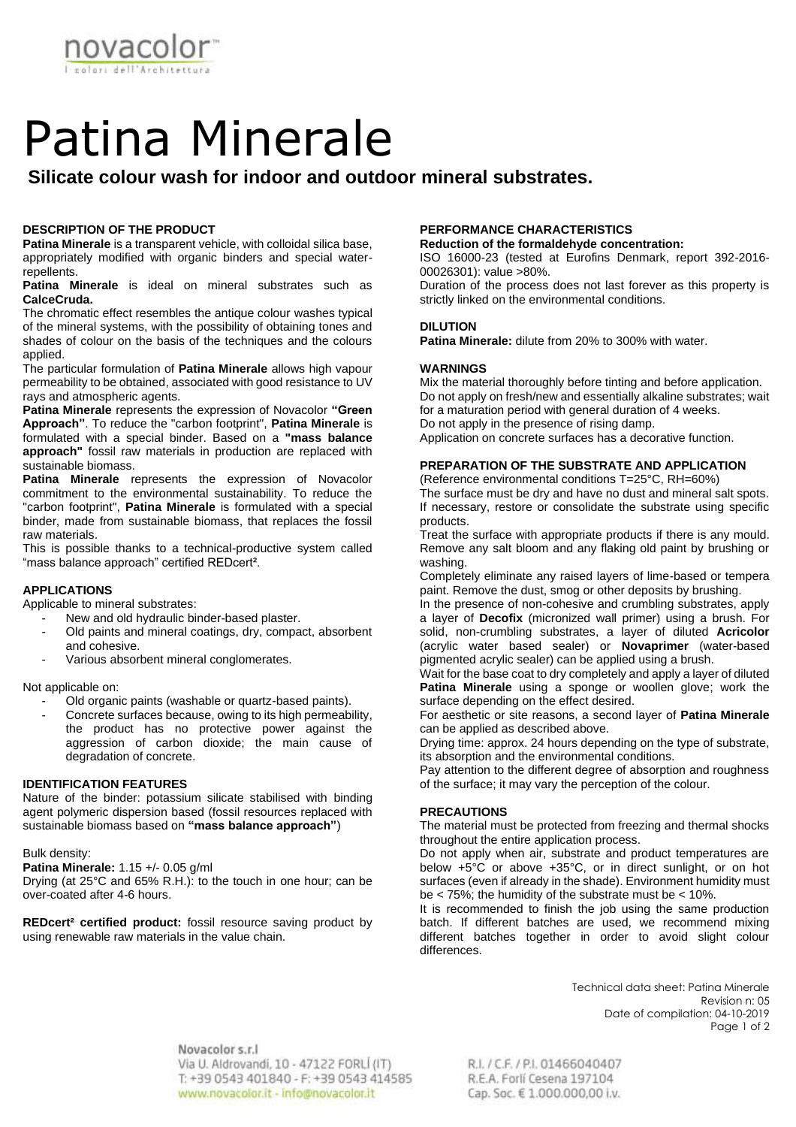

# Patina Minerale

# **Silicate colour wash for indoor and outdoor mineral substrates.**

## **DESCRIPTION OF THE PRODUCT**

**Patina Minerale** is a transparent vehicle, with colloidal silica base, appropriately modified with organic binders and special waterrepellents.

**Patina Minerale** is ideal on mineral substrates such as **CalceCruda.**

The chromatic effect resembles the antique colour washes typical of the mineral systems, with the possibility of obtaining tones and shades of colour on the basis of the techniques and the colours applied.

The particular formulation of **Patina Minerale** allows high vapour permeability to be obtained, associated with good resistance to UV rays and atmospheric agents.

**Patina Minerale** represents the expression of Novacolor **"Green Approach"**. To reduce the "carbon footprint", **Patina Minerale** is formulated with a special binder. Based on a **"mass balance approach"** fossil raw materials in production are replaced with sustainable biomass.

**Patina Minerale** represents the expression of Novacolor commitment to the environmental sustainability. To reduce the "carbon footprint", **Patina Minerale** is formulated with a special binder, made from sustainable biomass, that replaces the fossil raw materials.

This is possible thanks to a technical-productive system called "mass balance approach" certified REDcert².

## **APPLICATIONS**

Applicable to mineral substrates:

- New and old hydraulic binder-based plaster.
	- Old paints and mineral coatings, dry, compact, absorbent and cohesive.
	- Various absorbent mineral conglomerates.

Not applicable on:

- Old organic paints (washable or quartz-based paints).
- Concrete surfaces because, owing to its high permeability, the product has no protective power against the aggression of carbon dioxide; the main cause of degradation of concrete.

## **IDENTIFICATION FEATURES**

Nature of the binder: potassium silicate stabilised with binding agent polymeric dispersion based (fossil resources replaced with sustainable biomass based on **"mass balance approach"**)

## Bulk density:

**Patina Minerale:** 1.15 +/- 0.05 g/ml

Drying (at 25°C and 65% R.H.): to the touch in one hour; can be over-coated after 4-6 hours.

**REDcert² certified product:** fossil resource saving product by using renewable raw materials in the value chain.

## **PERFORMANCE CHARACTERISTICS**

**Reduction of the formaldehyde concentration:** ISO 16000-23 (tested at Eurofins Denmark, report 392-2016- 00026301): value >80%.

Duration of the process does not last forever as this property is strictly linked on the environmental conditions.

## **DILUTION**

**Patina Minerale:** dilute from 20% to 300% with water.

## **WARNINGS**

Mix the material thoroughly before tinting and before application. Do not apply on fresh/new and essentially alkaline substrates; wait for a maturation period with general duration of 4 weeks. Do not apply in the presence of rising damp. Application on concrete surfaces has a decorative function.

## **PREPARATION OF THE SUBSTRATE AND APPLICATION**

(Reference environmental conditions T=25°C, RH=60%)

The surface must be dry and have no dust and mineral salt spots. If necessary, restore or consolidate the substrate using specific products.

Treat the surface with appropriate products if there is any mould. Remove any salt bloom and any flaking old paint by brushing or washing.

Completely eliminate any raised layers of lime-based or tempera paint. Remove the dust, smog or other deposits by brushing.

In the presence of non-cohesive and crumbling substrates, apply a layer of **Decofix** (micronized wall primer) using a brush. For solid, non-crumbling substrates, a layer of diluted **Acricolor** (acrylic water based sealer) or **Novaprimer** (water-based pigmented acrylic sealer) can be applied using a brush.

Wait for the base coat to dry completely and apply a layer of diluted **Patina Minerale** using a sponge or woollen glove; work the surface depending on the effect desired.

For aesthetic or site reasons, a second layer of **Patina Minerale** can be applied as described above.

Drying time: approx. 24 hours depending on the type of substrate, its absorption and the environmental conditions.

Pay attention to the different degree of absorption and roughness of the surface; it may vary the perception of the colour.

## **PRECAUTIONS**

The material must be protected from freezing and thermal shocks throughout the entire application process.

Do not apply when air, substrate and product temperatures are below +5°C or above +35°C, or in direct sunlight, or on hot surfaces (even if already in the shade). Environment humidity must be  $<$  75%; the humidity of the substrate must be  $<$  10%.

It is recommended to finish the job using the same production batch. If different batches are used, we recommend mixing different batches together in order to avoid slight colour differences.

> Technical data sheet: Patina Minerale Revision n: 05 Date of compilation: 04-10-2019 Page 1 of 2

Novacolor s.r.l Via U. Aldrovandi, 10 - 47122 FORL (IT) T: +39 0543 401840 - F: +39 0543 414585 www.novacolor.it - info@novacolor.it

R.I. / C.F. / P.I. 01466040407 R.E.A. Forlí Cesena 197104 Cap. Soc. € 1.000.000,00 i.v.